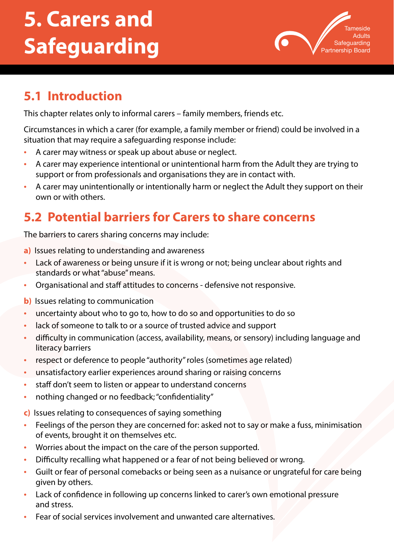# **5. Carers and Safeguarding**



## **5.1 Introduction**

This chapter relates only to informal carers – family members, friends etc.

Circumstances in which a carer (for example, a family member or friend) could be involved in a situation that may require a safeguarding response include:

- A carer may witness or speak up about abuse or neglect.
- A carer may experience intentional or unintentional harm from the Adult they are trying to support or from professionals and organisations they are in contact with.
- A carer may unintentionally or intentionally harm or neglect the Adult they support on their own or with others.

# **5.2 Potential barriers for Carers to share concerns**

The barriers to carers sharing concerns may include:

- **a)** Issues relating to understanding and awareness
- Lack of awareness or being unsure if it is wrong or not; being unclear about rights and standards or what "abuse" means.
- Organisational and staff attitudes to concerns defensive not responsive.

**b)** Issues relating to communication

- uncertainty about who to go to, how to do so and opportunities to do so
- lack of someone to talk to or a source of trusted advice and support
- difficulty in communication (access, availability, means, or sensory) including language and literacy barriers
- respect or deference to people "authority" roles (sometimes age related)
- unsatisfactory earlier experiences around sharing or raising concerns
- staff don't seem to listen or appear to understand concerns
- nothing changed or no feedback; "confidentiality"

**c)** Issues relating to consequences of saying something

- Feelings of the person they are concerned for: asked not to say or make a fuss, minimisation of events, brought it on themselves etc.
- Worries about the impact on the care of the person supported.
- Difficulty recalling what happened or a fear of not being believed or wrong.
- Guilt or fear of personal comebacks or being seen as a nuisance or ungrateful for care being given by others.
- Lack of confidence in following up concerns linked to carer's own emotional pressure and stress.
- Fear of social services involvement and unwanted care alternatives.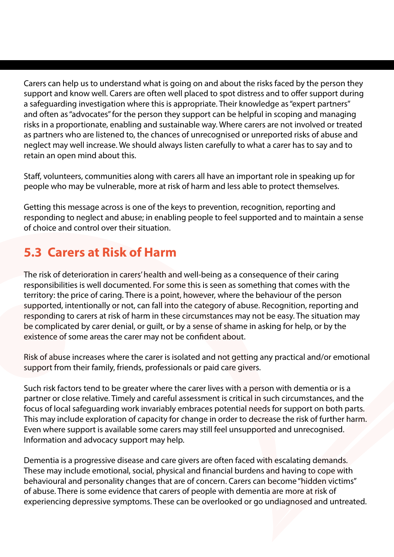Carers can help us to understand what is going on and about the risks faced by the person they support and know well. Carers are often well placed to spot distress and to offer support during a safeguarding investigation where this is appropriate. Their knowledge as "expert partners" and often as "advocates" for the person they support can be helpful in scoping and managing risks in a proportionate, enabling and sustainable way. Where carers are not involved or treated as partners who are listened to, the chances of unrecognised or unreported risks of abuse and neglect may well increase. We should always listen carefully to what a carer has to say and to retain an open mind about this.

Staff, volunteers, communities along with carers all have an important role in speaking up for people who may be vulnerable, more at risk of harm and less able to protect themselves.

Getting this message across is one of the keys to prevention, recognition, reporting and responding to neglect and abuse; in enabling people to feel supported and to maintain a sense of choice and control over their situation.

# **5.3 Carers at Risk of Harm**

The risk of deterioration in carers' health and well-being as a consequence of their caring responsibilities is well documented. For some this is seen as something that comes with the territory: the price of caring. There is a point, however, where the behaviour of the person supported, intentionally or not, can fall into the category of abuse. Recognition, reporting and responding to carers at risk of harm in these circumstances may not be easy. The situation may be complicated by carer denial, or guilt, or by a sense of shame in asking for help, or by the existence of some areas the carer may not be confident about.

Risk of abuse increases where the carer is isolated and not getting any practical and/or emotional support from their family, friends, professionals or paid care givers.

Such risk factors tend to be greater where the carer lives with a person with dementia or is a partner or close relative. Timely and careful assessment is critical in such circumstances, and the focus of local safeguarding work invariably embraces potential needs for support on both parts. This may include exploration of capacity for change in order to decrease the risk of further harm. Even where support is available some carers may still feel unsupported and unrecognised. Information and advocacy support may help.

Dementia is a progressive disease and care givers are often faced with escalating demands. These may include emotional, social, physical and financial burdens and having to cope with behavioural and personality changes that are of concern. Carers can become "hidden victims" of abuse. There is some evidence that carers of people with dementia are more at risk of experiencing depressive symptoms. These can be overlooked or go undiagnosed and untreated.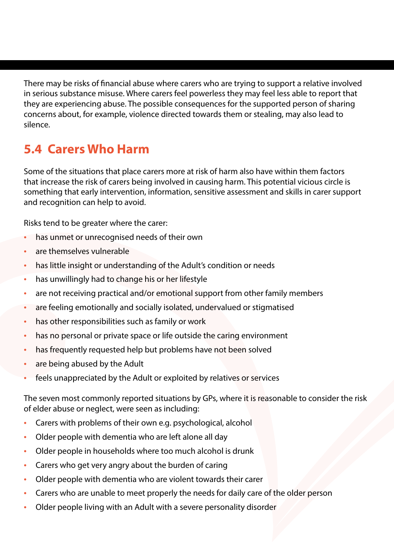There may be risks of financial abuse where carers who are trying to support a relative involved in serious substance misuse. Where carers feel powerless they may feel less able to report that they are experiencing abuse. The possible consequences for the supported person of sharing concerns about, for example, violence directed towards them or stealing, may also lead to silence.

#### **5.4 Carers Who Harm**

Some of the situations that place carers more at risk of harm also have within them factors that increase the risk of carers being involved in causing harm. This potential vicious circle is something that early intervention, information, sensitive assessment and skills in carer support and recognition can help to avoid.

Risks tend to be greater where the carer:

- has unmet or unrecognised needs of their own
- are themselves vulnerable
- has little insight or understanding of the Adult's condition or needs
- has unwillingly had to change his or her lifestyle
- are not receiving practical and/or emotional support from other family members
- are feeling emotionally and socially isolated, undervalued or stigmatised
- has other responsibilities such as family or work
- has no personal or private space or life outside the caring environment
- has frequently requested help but problems have not been solved
- are being abused by the Adult
- feels unappreciated by the Adult or exploited by relatives or services

The seven most commonly reported situations by GPs, where it is reasonable to consider the risk of elder abuse or neglect, were seen as including:

- Carers with problems of their own e.g. psychological, alcohol
- Older people with dementia who are left alone all day
- Older people in households where too much alcohol is drunk
- Carers who get very angry about the burden of caring
- Older people with dementia who are violent towards their carer
- Carers who are unable to meet properly the needs for daily care of the older person
- Older people living with an Adult with a severe personality disorder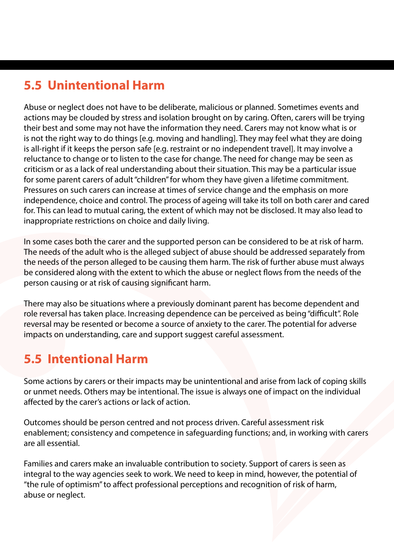# **5.5 Unintentional Harm**

Abuse or neglect does not have to be deliberate, malicious or planned. Sometimes events and actions may be clouded by stress and isolation brought on by caring. Often, carers will be trying their best and some may not have the information they need. Carers may not know what is or is not the right way to do things [e.g. moving and handling]. They may feel what they are doing is all-right if it keeps the person safe [e.g. restraint or no independent travel]. It may involve a reluctance to change or to listen to the case for change. The need for change may be seen as criticism or as a lack of real understanding about their situation. This may be a particular issue for some parent carers of adult "children" for whom they have given a lifetime commitment. Pressures on such carers can increase at times of service change and the emphasis on more independence, choice and control. The process of ageing will take its toll on both carer and cared for. This can lead to mutual caring, the extent of which may not be disclosed. It may also lead to inappropriate restrictions on choice and daily living.

In some cases both the carer and the supported person can be considered to be at risk of harm. The needs of the adult who is the alleged subject of abuse should be addressed separately from the needs of the person alleged to be causing them harm. The risk of further abuse must always be considered along with the extent to which the abuse or neglect flows from the needs of the person causing or at risk of causing significant harm.

There may also be situations where a previously dominant parent has become dependent and role reversal has taken place. Increasing dependence can be perceived as being "difficult". Role reversal may be resented or become a source of anxiety to the carer. The potential for adverse impacts on understanding, care and support suggest careful assessment.

#### **5.5 Intentional Harm**

Some actions by carers or their impacts may be unintentional and arise from lack of coping skills or unmet needs. Others may be intentional. The issue is always one of impact on the individual affected by the carer's actions or lack of action.

Outcomes should be person centred and not process driven. Careful assessment risk enablement; consistency and competence in safeguarding functions; and, in working with carers are all essential.

Families and carers make an invaluable contribution to society. Support of carers is seen as integral to the way agencies seek to work. We need to keep in mind, however, the potential of "the rule of optimism" to affect professional perceptions and recognition of risk of harm, abuse or neglect.